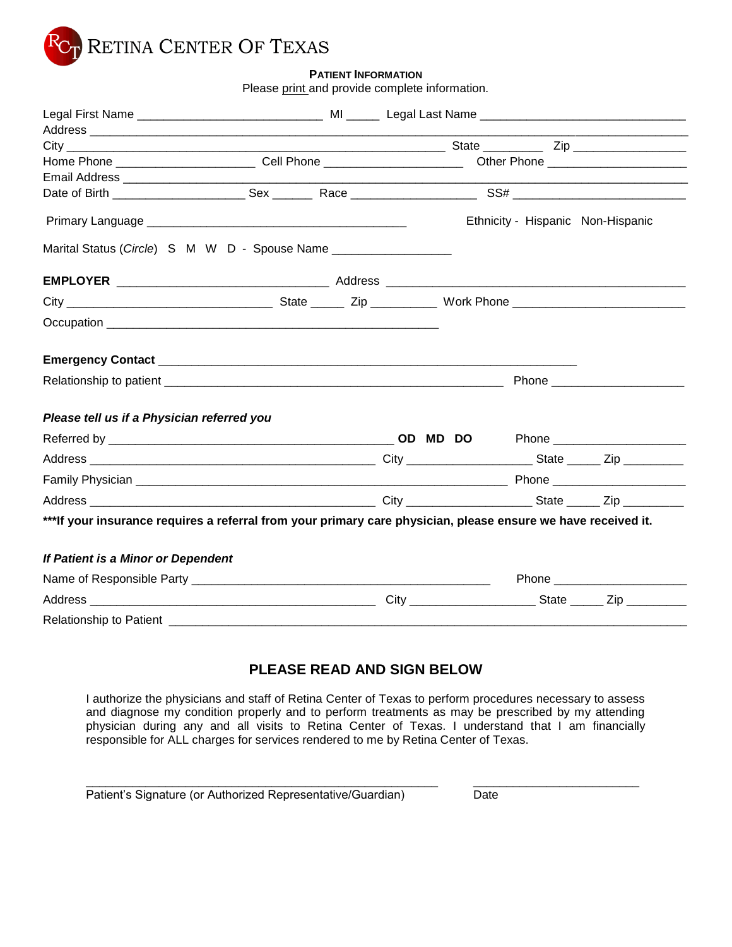

### **PATIENT INFORMATION**

Please print and provide complete information.

| Home Phone ____________________________Cell Phone ______________________________ Other Phone _______________________ |  |  |                                   |
|----------------------------------------------------------------------------------------------------------------------|--|--|-----------------------------------|
|                                                                                                                      |  |  |                                   |
|                                                                                                                      |  |  | Ethnicity - Hispanic Non-Hispanic |
| Marital Status (Circle) S M W D - Spouse Name ___________________                                                    |  |  |                                   |
|                                                                                                                      |  |  |                                   |
|                                                                                                                      |  |  |                                   |
|                                                                                                                      |  |  |                                   |
|                                                                                                                      |  |  |                                   |
|                                                                                                                      |  |  |                                   |
| Please tell us if a Physician referred you                                                                           |  |  |                                   |
|                                                                                                                      |  |  |                                   |
|                                                                                                                      |  |  |                                   |
|                                                                                                                      |  |  |                                   |
|                                                                                                                      |  |  |                                   |
| ***If your insurance requires a referral from your primary care physician, please ensure we have received it.        |  |  |                                   |
|                                                                                                                      |  |  |                                   |
| If Patient is a Minor or Dependent                                                                                   |  |  |                                   |
|                                                                                                                      |  |  |                                   |
|                                                                                                                      |  |  |                                   |
|                                                                                                                      |  |  |                                   |

## **PLEASE READ AND SIGN BELOW**

I authorize the physicians and staff of Retina Center of Texas to perform procedures necessary to assess and diagnose my condition properly and to perform treatments as may be prescribed by my attending physician during any and all visits to Retina Center of Texas. I understand that I am financially responsible for ALL charges for services rendered to me by Retina Center of Texas.

\_\_\_\_\_\_\_\_\_\_\_\_\_\_\_\_\_\_\_\_\_\_\_\_\_\_\_\_\_\_\_\_\_\_\_\_\_\_\_\_\_\_\_\_\_\_\_\_\_\_\_\_\_ \_\_\_\_\_\_\_\_\_\_\_\_\_\_\_\_\_\_\_\_\_\_\_\_\_

| Patient's Signature (or Authorized Representative/Guardian) | Date |
|-------------------------------------------------------------|------|
|-------------------------------------------------------------|------|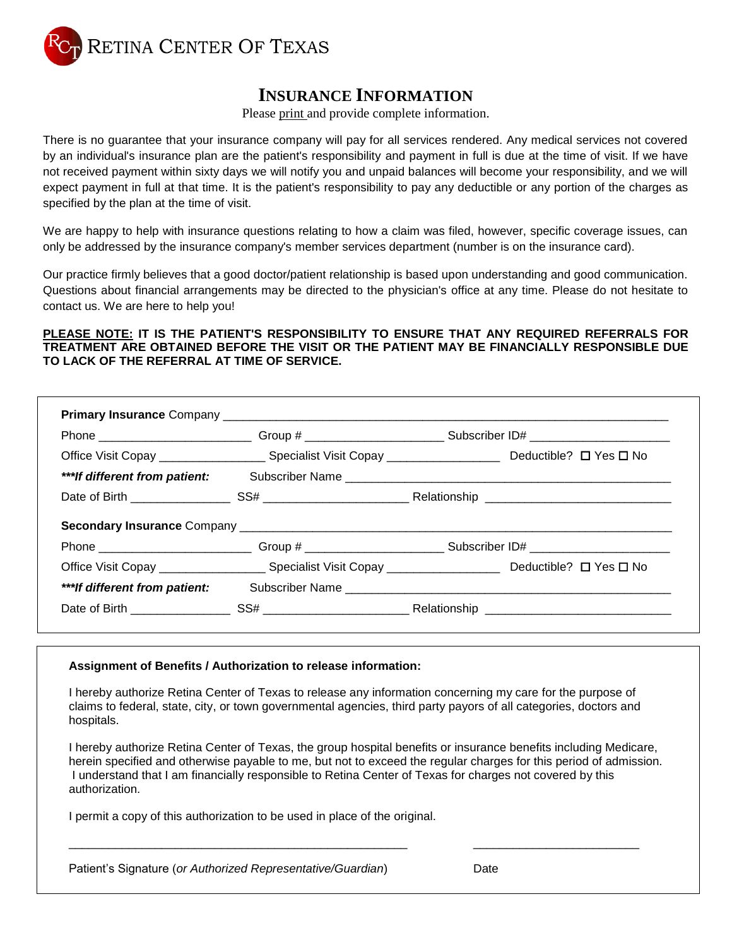

## **INSURANCE INFORMATION**

Please print and provide complete information.

There is no guarantee that your insurance company will pay for all services rendered. Any medical services not covered by an individual's insurance plan are the patient's responsibility and payment in full is due at the time of visit. If we have not received payment within sixty days we will notify you and unpaid balances will become your responsibility, and we will expect payment in full at that time. It is the patient's responsibility to pay any deductible or any portion of the charges as specified by the plan at the time of visit.

We are happy to help with insurance questions relating to how a claim was filed, however, specific coverage issues, can only be addressed by the insurance company's member services department (number is on the insurance card).

Our practice firmly believes that a good doctor/patient relationship is based upon understanding and good communication. Questions about financial arrangements may be directed to the physician's office at any time. Please do not hesitate to contact us. We are here to help you!

### **PLEASE NOTE: IT IS THE PATIENT'S RESPONSIBILITY TO ENSURE THAT ANY REQUIRED REFERRALS FOR TREATMENT ARE OBTAINED BEFORE THE VISIT OR THE PATIENT MAY BE FINANCIALLY RESPONSIBLE DUE TO LACK OF THE REFERRAL AT TIME OF SERVICE.**

|                                | Phone _______________________________Group # ___________________________Subscriber ID# _______________________              |  |
|--------------------------------|-----------------------------------------------------------------------------------------------------------------------------|--|
|                                | Office Visit Copay _______________________Specialist Visit Copay ___________________________________ Deductible? □ Yes □ No |  |
| *** If different from patient: |                                                                                                                             |  |
|                                |                                                                                                                             |  |
|                                |                                                                                                                             |  |
|                                |                                                                                                                             |  |
|                                | Phone _______________________________Group # ____________________________Subscriber ID# ______________________              |  |
|                                |                                                                                                                             |  |
| *** If different from patient: | Subscriber Name                                                                                                             |  |

### **Assignment of Benefits / Authorization to release information:**

I hereby authorize Retina Center of Texas to release any information concerning my care for the purpose of claims to federal, state, city, or town governmental agencies, third party payors of all categories, doctors and hospitals.

I hereby authorize Retina Center of Texas, the group hospital benefits or insurance benefits including Medicare, herein specified and otherwise payable to me, but not to exceed the regular charges for this period of admission. I understand that I am financially responsible to Retina Center of Texas for charges not covered by this authorization.

\_\_\_\_\_\_\_\_\_\_\_\_\_\_\_\_\_\_\_\_\_\_\_\_\_\_\_\_\_\_\_\_\_\_\_\_\_\_\_\_\_\_\_\_\_\_\_\_\_\_\_ \_\_\_\_\_\_\_\_\_\_\_\_\_\_\_\_\_\_\_\_\_\_\_\_\_

I permit a copy of this authorization to be used in place of the original.

| Patient's Signature (or Authorized Representative/Guardian) | Date |
|-------------------------------------------------------------|------|
|-------------------------------------------------------------|------|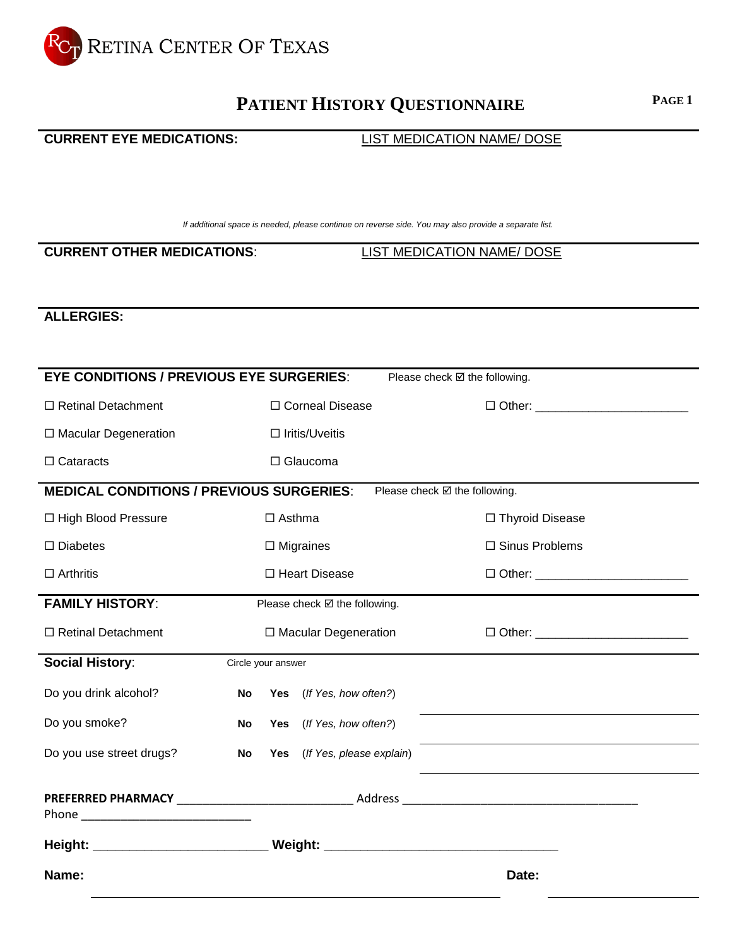

# **PATIENT HISTORY QUESTIONNAIRE <sup>P</sup>AGE <sup>1</sup>**

## **CURRENT EYE MEDICATIONS:** LIST MEDICATION NAME/ DOSE

*If additional space is needed, please continue on reverse side. You may also provide a separate list.*

**CURRENT OTHER MEDICATIONS**: LIST MEDICATION NAME/ DOSE

## **ALLERGIES:**

| <b>EYE CONDITIONS / PREVIOUS EYE SURGERIES:</b>                                  |                        |                    | Please check Ø the following. |                                                            |  |
|----------------------------------------------------------------------------------|------------------------|--------------------|-------------------------------|------------------------------------------------------------|--|
| □ Retinal Detachment                                                             |                        |                    | □ Corneal Disease             |                                                            |  |
| $\Box$ Macular Degeneration                                                      | $\Box$ Iritis/Uveitis  |                    |                               |                                                            |  |
| $\Box$ Cataracts                                                                 | □ Glaucoma             |                    |                               |                                                            |  |
| <b>MEDICAL CONDITIONS / PREVIOUS SURGERIES:</b>                                  |                        |                    | Please check Ø the following. |                                                            |  |
| □ High Blood Pressure                                                            | $\Box$ Asthma          |                    |                               | □ Thyroid Disease                                          |  |
| $\square$ Diabetes                                                               |                        |                    | $\Box$ Migraines              | □ Sinus Problems                                           |  |
| $\Box$ Arthritis                                                                 |                        |                    | □ Heart Disease               |                                                            |  |
| <b>FAMILY HISTORY:</b><br>Please check Ø the following.                          |                        |                    |                               |                                                            |  |
| □ Retinal Detachment                                                             | □ Macular Degeneration |                    |                               |                                                            |  |
| <b>Social History:</b>                                                           |                        | Circle your answer |                               |                                                            |  |
| Do you drink alcohol?                                                            | No                     |                    | Yes (If Yes, how often?)      |                                                            |  |
| Do you smoke?                                                                    | No                     |                    | Yes (If Yes, how often?)      |                                                            |  |
| Do you use street drugs?                                                         | No                     |                    | Yes (If Yes, please explain)  | <u> 1980 - Johann Barbara, martxa alemaniar amerikan a</u> |  |
|                                                                                  |                        |                    |                               |                                                            |  |
| Height: _________________________________ Weight: ______________________________ |                        |                    |                               |                                                            |  |
| Name:                                                                            |                        |                    |                               | Date:                                                      |  |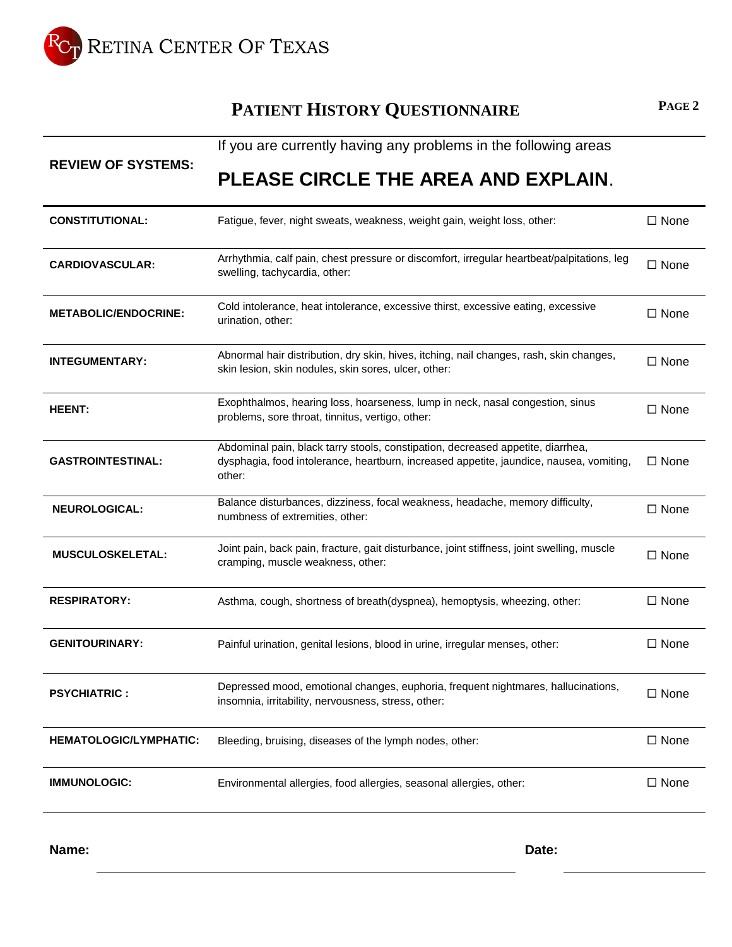

# **PATIENT HISTORY QUESTIONNAIRE <sup>P</sup>AGE <sup>2</sup>**

|                               | If you are currently having any problems in the following areas                                                                                                                      |                |  |  |  |  |  |  |
|-------------------------------|--------------------------------------------------------------------------------------------------------------------------------------------------------------------------------------|----------------|--|--|--|--|--|--|
| <b>REVIEW OF SYSTEMS:</b>     | PLEASE CIRCLE THE AREA AND EXPLAIN.                                                                                                                                                  |                |  |  |  |  |  |  |
| <b>CONSTITUTIONAL:</b>        | Fatigue, fever, night sweats, weakness, weight gain, weight loss, other:                                                                                                             | $\Box$ None    |  |  |  |  |  |  |
| <b>CARDIOVASCULAR:</b>        | Arrhythmia, calf pain, chest pressure or discomfort, irregular heartbeat/palpitations, leg<br>swelling, tachycardia, other:                                                          | $\Box$ None    |  |  |  |  |  |  |
| <b>METABOLIC/ENDOCRINE:</b>   | Cold intolerance, heat intolerance, excessive thirst, excessive eating, excessive<br>urination, other:                                                                               | $\Box$ None    |  |  |  |  |  |  |
| <b>INTEGUMENTARY:</b>         | Abnormal hair distribution, dry skin, hives, itching, nail changes, rash, skin changes,<br>skin lesion, skin nodules, skin sores, ulcer, other:                                      | $\Box$ None    |  |  |  |  |  |  |
| <b>HEENT:</b>                 | Exophthalmos, hearing loss, hoarseness, lump in neck, nasal congestion, sinus<br>problems, sore throat, tinnitus, vertigo, other:                                                    | $\Box$ None    |  |  |  |  |  |  |
| <b>GASTROINTESTINAL:</b>      | Abdominal pain, black tarry stools, constipation, decreased appetite, diarrhea,<br>dysphagia, food intolerance, heartburn, increased appetite, jaundice, nausea, vomiting,<br>other: | $\square$ None |  |  |  |  |  |  |
| <b>NEUROLOGICAL:</b>          | Balance disturbances, dizziness, focal weakness, headache, memory difficulty,<br>numbness of extremities, other:                                                                     | $\Box$ None    |  |  |  |  |  |  |
| MUSCULOSKELETAL:              | Joint pain, back pain, fracture, gait disturbance, joint stiffness, joint swelling, muscle<br>cramping, muscle weakness, other:                                                      | $\Box$ None    |  |  |  |  |  |  |
| <b>RESPIRATORY:</b>           | Asthma, cough, shortness of breath(dyspnea), hemoptysis, wheezing, other:                                                                                                            | $\Box$ None    |  |  |  |  |  |  |
| <b>GENITOURINARY:</b>         | Painful urination, genital lesions, blood in urine, irregular menses, other:                                                                                                         | $\Box$ None    |  |  |  |  |  |  |
| <b>PSYCHIATRIC:</b>           | Depressed mood, emotional changes, euphoria, frequent nightmares, hallucinations,<br>insomnia, irritability, nervousness, stress, other:                                             | $\Box$ None    |  |  |  |  |  |  |
| <b>HEMATOLOGIC/LYMPHATIC:</b> | Bleeding, bruising, diseases of the lymph nodes, other:                                                                                                                              | $\Box$ None    |  |  |  |  |  |  |
| <b>IMMUNOLOGIC:</b>           | Environmental allergies, food allergies, seasonal allergies, other:                                                                                                                  | $\Box$ None    |  |  |  |  |  |  |

**Name: Date:**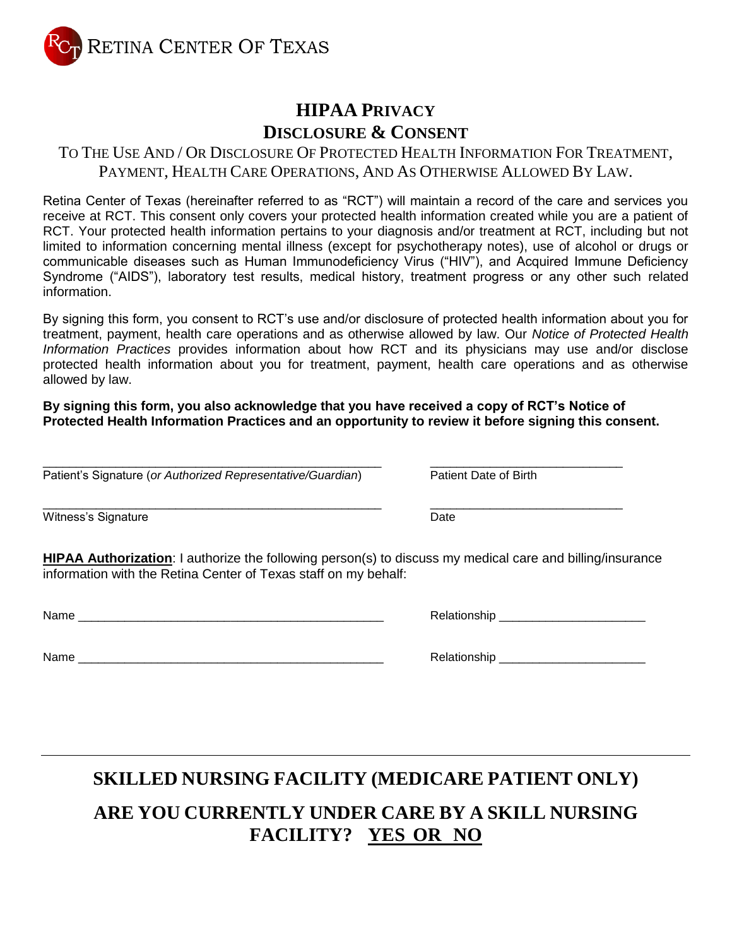RETINA CENTER OF TEXAS

# **HIPAA PRIVACY DISCLOSURE & CONSENT**

## TO THE USE AND / OR DISCLOSURE OF PROTECTED HEALTH INFORMATION FOR TREATMENT, PAYMENT, HEALTH CARE OPERATIONS, AND AS OTHERWISE ALLOWED BY LAW.

Retina Center of Texas (hereinafter referred to as "RCT") will maintain a record of the care and services you receive at RCT. This consent only covers your protected health information created while you are a patient of RCT. Your protected health information pertains to your diagnosis and/or treatment at RCT, including but not limited to information concerning mental illness (except for psychotherapy notes), use of alcohol or drugs or communicable diseases such as Human Immunodeficiency Virus ("HIV"), and Acquired Immune Deficiency Syndrome ("AIDS"), laboratory test results, medical history, treatment progress or any other such related information.

By signing this form, you consent to RCT's use and/or disclosure of protected health information about you for treatment, payment, health care operations and as otherwise allowed by law. Our *Notice of Protected Health Information Practices* provides information about how RCT and its physicians may use and/or disclose protected health information about you for treatment, payment, health care operations and as otherwise allowed by law.

**By signing this form, you also acknowledge that you have received a copy of RCT's Notice of Protected Health Information Practices and an opportunity to review it before signing this consent.**

\_\_\_\_\_\_\_\_\_\_\_\_\_\_\_\_\_\_\_\_\_\_\_\_\_\_\_\_\_\_\_\_\_\_\_\_\_\_\_\_\_\_\_\_\_\_\_\_\_\_\_ \_\_\_\_\_\_\_\_\_\_\_\_\_\_\_\_\_\_\_\_\_\_\_\_\_\_\_\_\_ Patient's Signature (*or Authorized Representative/Guardian*) Patient Date of Birth

\_\_\_\_\_\_\_\_\_\_\_\_\_\_\_\_\_\_\_\_\_\_\_\_\_\_\_\_\_\_\_\_\_\_\_\_\_\_\_\_\_\_\_\_\_\_\_\_\_\_\_ \_\_\_\_\_\_\_\_\_\_\_\_\_\_\_\_\_\_\_\_\_\_\_\_\_\_\_\_\_ Witness's Signature **Date** 

**HIPAA Authorization**: I authorize the following person(s) to discuss my medical care and billing/insurance information with the Retina Center of Texas staff on my behalf:

| Name |  |
|------|--|
|      |  |

Name \_\_\_\_\_\_\_\_\_\_\_\_\_\_\_\_\_\_\_\_\_\_\_\_\_\_\_\_\_\_\_\_\_\_\_\_\_\_\_\_\_\_\_\_\_\_ Relationship \_\_\_\_\_\_\_\_\_\_\_\_\_\_\_\_\_\_\_\_\_\_

Name \_\_\_\_\_\_\_\_\_\_\_\_\_\_\_\_\_\_\_\_\_\_\_\_\_\_\_\_\_\_\_\_\_\_\_\_\_\_\_\_\_\_\_\_\_\_ Relationship \_\_\_\_\_\_\_\_\_\_\_\_\_\_\_\_\_\_\_\_\_\_

**SKILLED NURSING FACILITY (MEDICARE PATIENT ONLY)**

# **ARE YOU CURRENTLY UNDER CARE BY A SKILL NURSING FACILITY? YES OR NO**